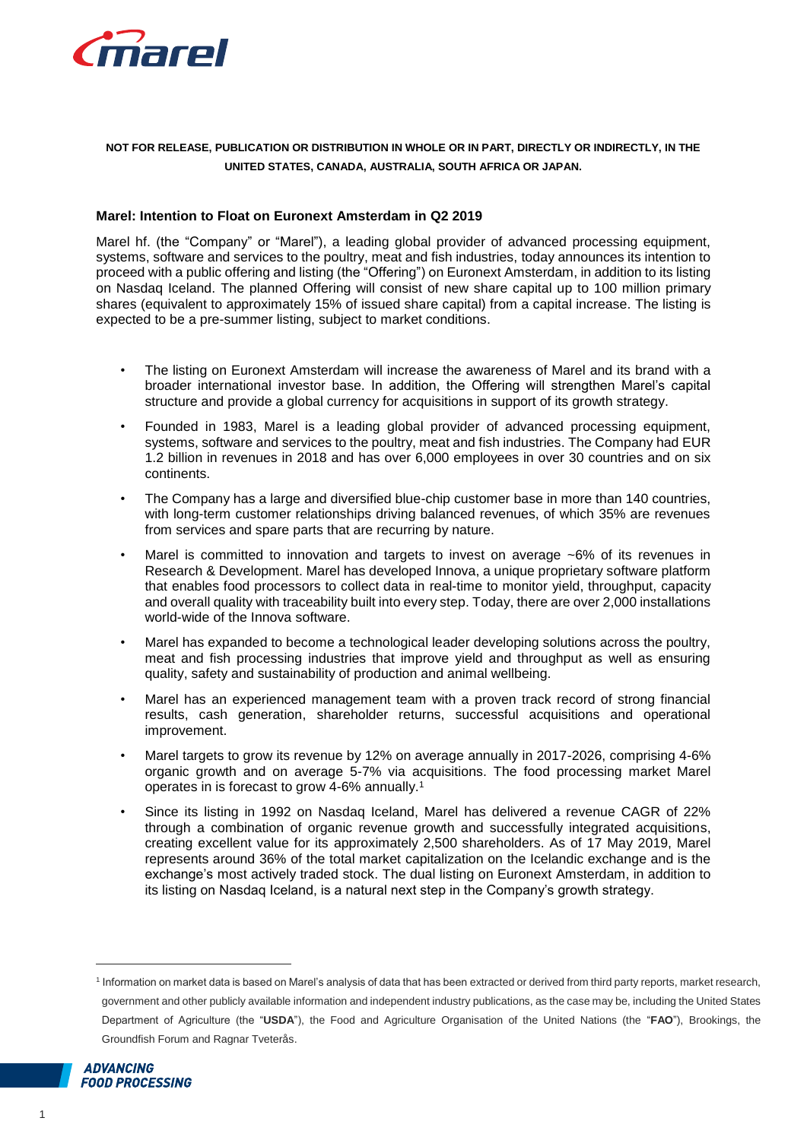

# **NOT FOR RELEASE, PUBLICATION OR DISTRIBUTION IN WHOLE OR IN PART, DIRECTLY OR INDIRECTLY, IN THE UNITED STATES, CANADA, AUSTRALIA, SOUTH AFRICA OR JAPAN.**

## **Marel: Intention to Float on Euronext Amsterdam in Q2 2019**

Marel hf. (the "Company" or "Marel"), a leading global provider of advanced processing equipment, systems, software and services to the poultry, meat and fish industries, today announces its intention to proceed with a public offering and listing (the "Offering") on Euronext Amsterdam, in addition to its listing on Nasdaq Iceland. The planned Offering will consist of new share capital up to 100 million primary shares (equivalent to approximately 15% of issued share capital) from a capital increase. The listing is expected to be a pre-summer listing, subject to market conditions.

- The listing on Euronext Amsterdam will increase the awareness of Marel and its brand with a broader international investor base. In addition, the Offering will strengthen Marel's capital structure and provide a global currency for acquisitions in support of its growth strategy.
- Founded in 1983, Marel is a leading global provider of advanced processing equipment, systems, software and services to the poultry, meat and fish industries. The Company had EUR 1.2 billion in revenues in 2018 and has over 6,000 employees in over 30 countries and on six continents.
- The Company has a large and diversified blue-chip customer base in more than 140 countries, with long-term customer relationships driving balanced revenues, of which 35% are revenues from services and spare parts that are recurring by nature.
- Marel is committed to innovation and targets to invest on average  $~6\%$  of its revenues in Research & Development. Marel has developed Innova, a unique proprietary software platform that enables food processors to collect data in real-time to monitor yield, throughput, capacity and overall quality with traceability built into every step. Today, there are over 2,000 installations world-wide of the Innova software.
- Marel has expanded to become a technological leader developing solutions across the poultry, meat and fish processing industries that improve yield and throughput as well as ensuring quality, safety and sustainability of production and animal wellbeing.
- Marel has an experienced management team with a proven track record of strong financial results, cash generation, shareholder returns, successful acquisitions and operational improvement.
- Marel targets to grow its revenue by 12% on average annually in 2017-2026, comprising 4-6% organic growth and on average 5-7% via acquisitions. The food processing market Marel operates in is forecast to grow 4-6% annually.<sup>1</sup>
- Since its listing in 1992 on Nasdaq Iceland, Marel has delivered a revenue CAGR of 22% through a combination of organic revenue growth and successfully integrated acquisitions, creating excellent value for its approximately 2,500 shareholders. As of 17 May 2019, Marel represents around 36% of the total market capitalization on the Icelandic exchange and is the exchange's most actively traded stock. The dual listing on Euronext Amsterdam, in addition to its listing on Nasdaq Iceland, is a natural next step in the Company's growth strategy.

<sup>1</sup> Information on market data is based on Marel's analysis of data that has been extracted or derived from third party reports, market research, government and other publicly available information and independent industry publications, as the case may be, including the United States Department of Agriculture (the "**USDA**"), the Food and Agriculture Organisation of the United Nations (the "**FAO**"), Brookings, the Groundfish Forum and Ragnar Tveterås.



 $\overline{a}$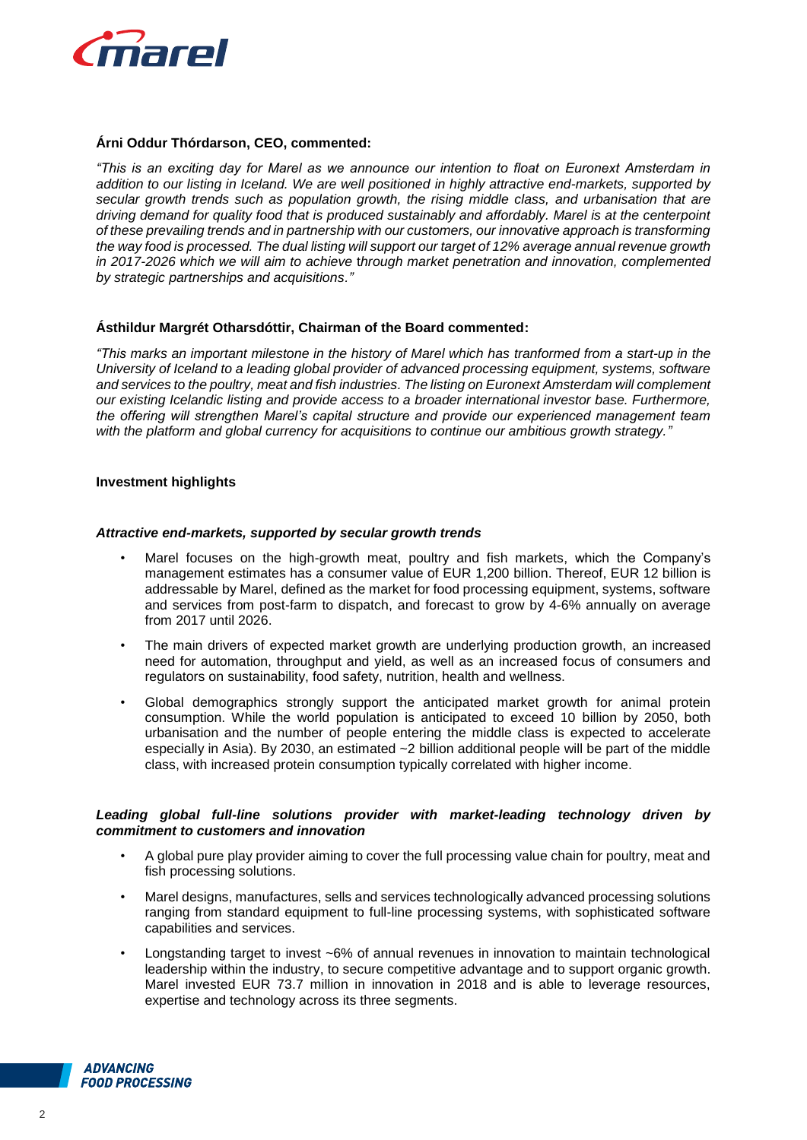

## **Árni Oddur Thórdarson, CEO, commented:**

*"This is an exciting day for Marel as we announce our intention to float on Euronext Amsterdam in addition to our listing in Iceland. We are well positioned in highly attractive end-markets, supported by secular growth trends such as population growth, the rising middle class, and urbanisation that are driving demand for quality food that is produced sustainably and affordably. Marel is at the centerpoint of these prevailing trends and in partnership with our customers, our innovative approach is transforming the way food is processed. The dual listing will support our target of 12% average annual revenue growth in 2017-2026 which we will aim to achieve* t*hrough market penetration and innovation, complemented by strategic partnerships and acquisitions."*

## **Ásthildur Margrét Otharsdóttir, Chairman of the Board commented:**

*"This marks an important milestone in the history of Marel which has tranformed from a start-up in the University of Iceland to a leading global provider of advanced processing equipment, systems, software and services to the poultry, meat and fish industries. The listing on Euronext Amsterdam will complement our existing Icelandic listing and provide access to a broader international investor base. Furthermore, the offering will strengthen Marel's capital structure and provide our experienced management team with the platform and global currency for acquisitions to continue our ambitious growth strategy."*

## **Investment highlights**

#### *Attractive end-markets, supported by secular growth trends*

- Marel focuses on the high-growth meat, poultry and fish markets, which the Company's management estimates has a consumer value of EUR 1,200 billion. Thereof, EUR 12 billion is addressable by Marel, defined as the market for food processing equipment, systems, software and services from post-farm to dispatch, and forecast to grow by 4-6% annually on average from 2017 until 2026.
- The main drivers of expected market growth are underlying production growth, an increased need for automation, throughput and yield, as well as an increased focus of consumers and regulators on sustainability, food safety, nutrition, health and wellness.
- Global demographics strongly support the anticipated market growth for animal protein consumption. While the world population is anticipated to exceed 10 billion by 2050, both urbanisation and the number of people entering the middle class is expected to accelerate especially in Asia). By 2030, an estimated ~2 billion additional people will be part of the middle class, with increased protein consumption typically correlated with higher income.

## *Leading global full-line solutions provider with market-leading technology driven by commitment to customers and innovation*

- A global pure play provider aiming to cover the full processing value chain for poultry, meat and fish processing solutions.
- Marel designs, manufactures, sells and services technologically advanced processing solutions ranging from standard equipment to full-line processing systems, with sophisticated software capabilities and services.
- Longstanding target to invest ~6% of annual revenues in innovation to maintain technological leadership within the industry, to secure competitive advantage and to support organic growth. Marel invested EUR 73.7 million in innovation in 2018 and is able to leverage resources, expertise and technology across its three segments.

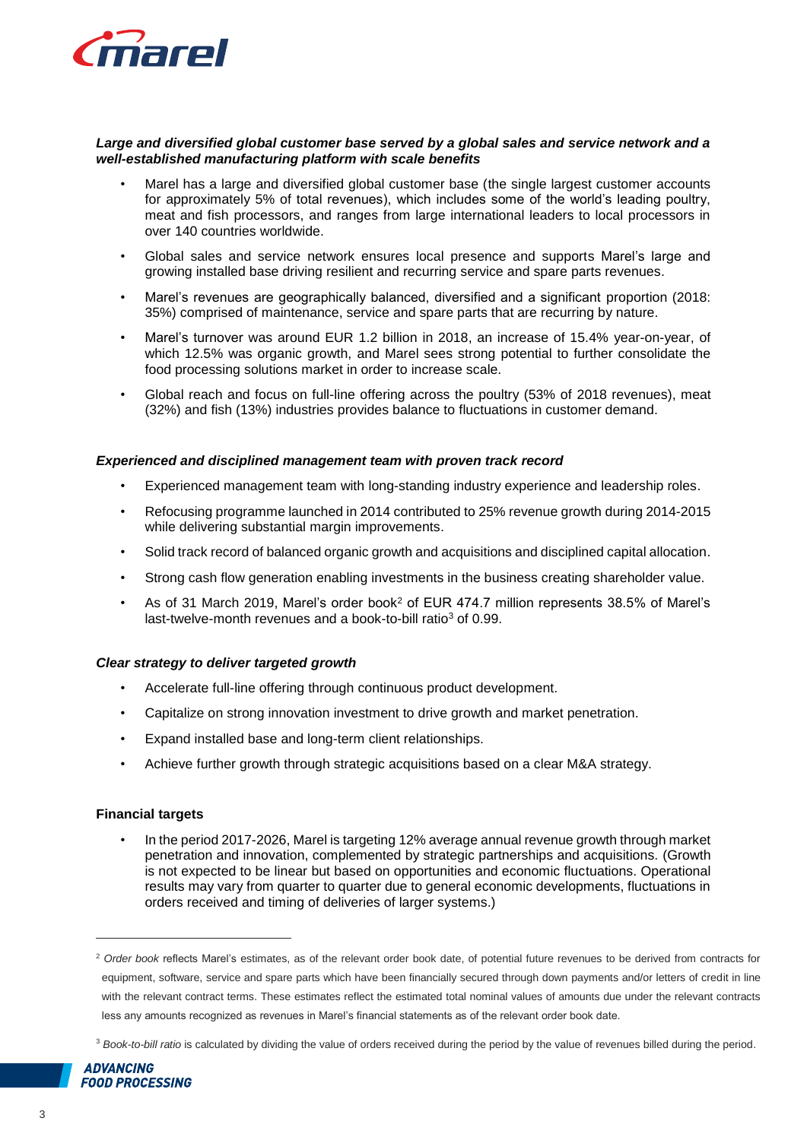

#### *Large and diversified global customer base served by a global sales and service network and a well-established manufacturing platform with scale benefits*

- Marel has a large and diversified global customer base (the single largest customer accounts for approximately 5% of total revenues), which includes some of the world's leading poultry, meat and fish processors, and ranges from large international leaders to local processors in over 140 countries worldwide.
- Global sales and service network ensures local presence and supports Marel's large and growing installed base driving resilient and recurring service and spare parts revenues.
- Marel's revenues are geographically balanced, diversified and a significant proportion (2018: 35%) comprised of maintenance, service and spare parts that are recurring by nature.
- Marel's turnover was around EUR 1.2 billion in 2018, an increase of 15.4% year-on-year, of which 12.5% was organic growth, and Marel sees strong potential to further consolidate the food processing solutions market in order to increase scale.
- Global reach and focus on full-line offering across the poultry (53% of 2018 revenues), meat (32%) and fish (13%) industries provides balance to fluctuations in customer demand.

# *Experienced and disciplined management team with proven track record*

- Experienced management team with long-standing industry experience and leadership roles.
- Refocusing programme launched in 2014 contributed to 25% revenue growth during 2014-2015 while delivering substantial margin improvements.
- Solid track record of balanced organic growth and acquisitions and disciplined capital allocation.
- Strong cash flow generation enabling investments in the business creating shareholder value.
- As of 31 March 2019, Marel's order book<sup>2</sup> of EUR 474.7 million represents 38.5% of Marel's last-twelve-month revenues and a book-to-bill ratio<sup>3</sup> of 0.99.

## *Clear strategy to deliver targeted growth*

- Accelerate full-line offering through continuous product development.
- Capitalize on strong innovation investment to drive growth and market penetration.
- Expand installed base and long-term client relationships.
- Achieve further growth through strategic acquisitions based on a clear M&A strategy.

## **Financial targets**

• In the period 2017-2026, Marel is targeting 12% average annual revenue growth through market penetration and innovation, complemented by strategic partnerships and acquisitions. (Growth is not expected to be linear but based on opportunities and economic fluctuations. Operational results may vary from quarter to quarter due to general economic developments, fluctuations in orders received and timing of deliveries of larger systems.)

<sup>3</sup> *Book-to-bill ratio* is calculated by dividing the value of orders received during the period by the value of revenues billed during the period.



 $\overline{a}$ 

<sup>2</sup> *Order book* reflects Marel's estimates, as of the relevant order book date, of potential future revenues to be derived from contracts for equipment, software, service and spare parts which have been financially secured through down payments and/or letters of credit in line with the relevant contract terms. These estimates reflect the estimated total nominal values of amounts due under the relevant contracts less any amounts recognized as revenues in Marel's financial statements as of the relevant order book date.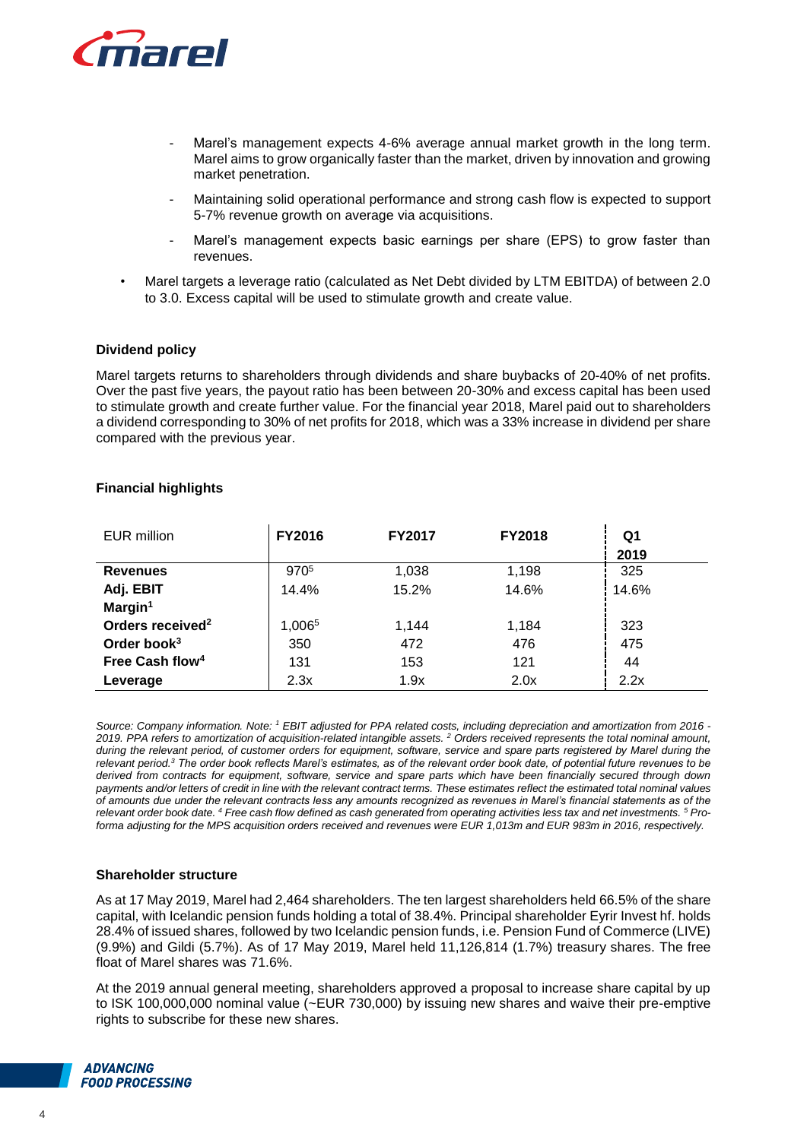

- Marel's management expects 4-6% average annual market growth in the long term. Marel aims to grow organically faster than the market, driven by innovation and growing market penetration.
- Maintaining solid operational performance and strong cash flow is expected to support 5-7% revenue growth on average via acquisitions.
- Marel's management expects basic earnings per share (EPS) to grow faster than revenues.
- Marel targets a leverage ratio (calculated as Net Debt divided by LTM EBITDA) of between 2.0 to 3.0. Excess capital will be used to stimulate growth and create value.

## **Dividend policy**

Marel targets returns to shareholders through dividends and share buybacks of 20-40% of net profits. Over the past five years, the payout ratio has been between 20-30% and excess capital has been used to stimulate growth and create further value. For the financial year 2018, Marel paid out to shareholders a dividend corresponding to 30% of net profits for 2018, which was a 33% increase in dividend per share compared with the previous year.

| <b>EUR</b> million           | FY2016           | <b>FY2017</b> | <b>FY2018</b> | Q1    |
|------------------------------|------------------|---------------|---------------|-------|
|                              |                  |               |               | 2019  |
| <b>Revenues</b>              | 970 <sup>5</sup> | 1,038         | 1,198         | 325   |
| Adj. EBIT                    | 14.4%            | 15.2%         | 14.6%         | 14.6% |
| Margin <sup>1</sup>          |                  |               |               |       |
| Orders received <sup>2</sup> | 1,0065           | 1,144         | 1,184         | 323   |
| Order book $3$               | 350              | 472           | 476           | 475   |
| Free Cash flow <sup>4</sup>  | 131              | 153           | 121           | 44    |
| Leverage                     | 2.3x             | 1.9x          | 2.0x          | 2.2x  |

## **Financial highlights**

*Source: Company information. Note: <sup>1</sup> EBIT adjusted for PPA related costs, including depreciation and amortization from 2016 - 2019. PPA refers to amortization of acquisition-related intangible assets. <sup>2</sup> Orders received represents the total nominal amount, during the relevant period, of customer orders for equipment, software, service and spare parts registered by Marel during the relevant period.<sup>3</sup> The order book reflects Marel's estimates, as of the relevant order book date, of potential future revenues to be derived from contracts for equipment, software, service and spare parts which have been financially secured through down payments and/or letters of credit in line with the relevant contract terms. These estimates reflect the estimated total nominal values of amounts due under the relevant contracts less any amounts recognized as revenues in Marel's financial statements as of the relevant order book date. <sup>4</sup> Free cash flow defined as cash generated from operating activities less tax and net investments. <sup>5</sup> Proforma adjusting for the MPS acquisition orders received and revenues were EUR 1,013m and EUR 983m in 2016, respectively.* 

## **Shareholder structure**

As at 17 May 2019, Marel had 2,464 shareholders. The ten largest shareholders held 66.5% of the share capital, with Icelandic pension funds holding a total of 38.4%. Principal shareholder Eyrir Invest hf. holds 28.4% of issued shares, followed by two Icelandic pension funds, i.e. Pension Fund of Commerce (LIVE) (9.9%) and Gildi (5.7%). As of 17 May 2019, Marel held 11,126,814 (1.7%) treasury shares. The free float of Marel shares was 71.6%.

At the 2019 annual general meeting, shareholders approved a proposal to increase share capital by up to ISK 100,000,000 nominal value (~EUR 730,000) by issuing new shares and waive their pre-emptive rights to subscribe for these new shares.

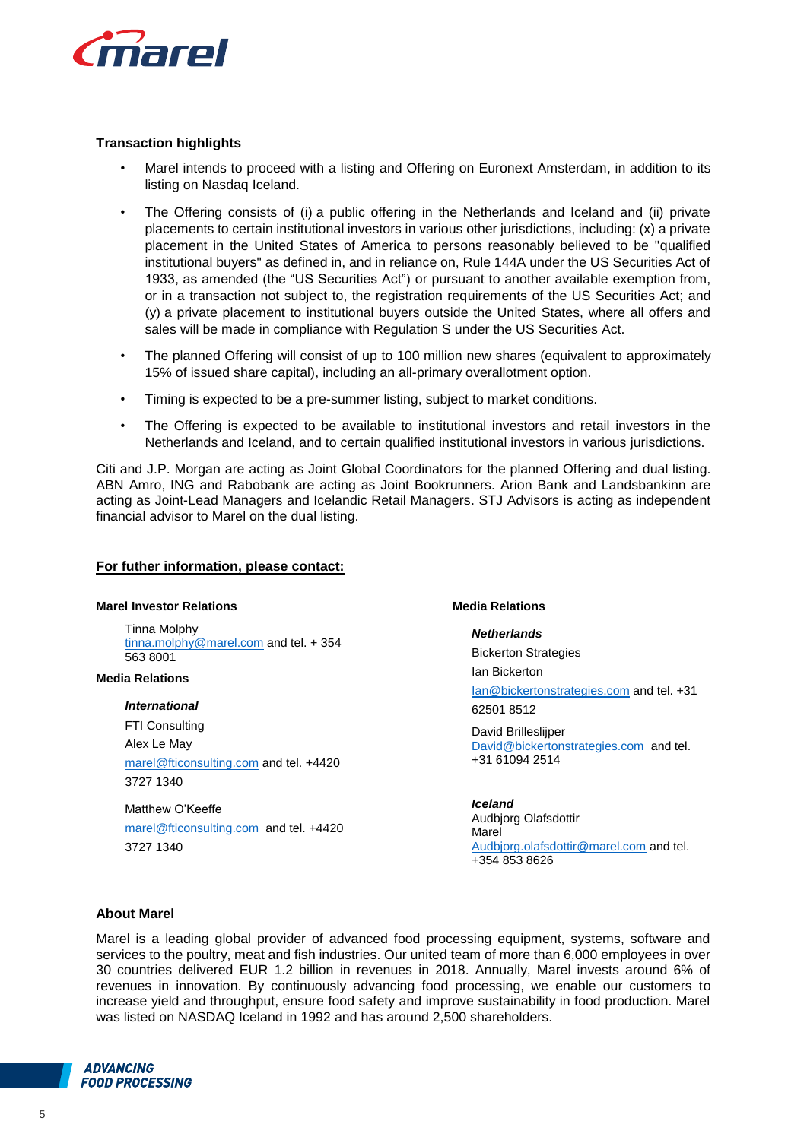

# **Transaction highlights**

- Marel intends to proceed with a listing and Offering on Euronext Amsterdam, in addition to its listing on Nasdaq Iceland.
- The Offering consists of (i) a public offering in the Netherlands and Iceland and (ii) private placements to certain institutional investors in various other jurisdictions, including: (x) a private placement in the United States of America to persons reasonably believed to be "qualified institutional buyers" as defined in, and in reliance on, Rule 144A under the US Securities Act of 1933, as amended (the "US Securities Act") or pursuant to another available exemption from, or in a transaction not subject to, the registration requirements of the US Securities Act; and (y) a private placement to institutional buyers outside the United States, where all offers and sales will be made in compliance with Regulation S under the US Securities Act.
- The planned Offering will consist of up to 100 million new shares (equivalent to approximately 15% of issued share capital), including an all-primary overallotment option.
- Timing is expected to be a pre-summer listing, subject to market conditions.
- The Offering is expected to be available to institutional investors and retail investors in the Netherlands and Iceland, and to certain qualified institutional investors in various jurisdictions.

Citi and J.P. Morgan are acting as Joint Global Coordinators for the planned Offering and dual listing. ABN Amro, ING and Rabobank are acting as Joint Bookrunners. Arion Bank and Landsbankinn are acting as Joint-Lead Managers and Icelandic Retail Managers. STJ Advisors is acting as independent financial advisor to Marel on the dual listing.

#### **For futher information, please contact:**

#### **Marel Investor Relations**

Tinna Molphy [tinna.molphy@marel.com](mailto:tinna.molphy@marel.com) and tel. + 354 563 8001

#### **Media Relations**

*International* FTI Consulting Alex Le May [marel@fticonsulting.com](mailto:marel@fticonsulting.com) and tel. +4420 3727 1340

Matthew O'Keeffe [marel@fticonsulting.com](mailto:marel@fticonsulting.com) and tel. +4420 3727 1340

#### **Media Relations**

#### *Netherlands*

Bickerton Strategies Ian Bickerton

[Ian@bickertonstrategies.com](mailto:Ian@bickertonstrategies.com) and tel. +31 62501 8512

David Brilleslijper [David@bickertonstrategies.com](mailto:David@bickertonstrategies.com) and tel. +31 61094 2514

*Iceland* Audbjorg Olafsdottir Marel [Audbjorg.olafsdottir@marel.com](mailto:Audbjorg.olafsdottir@marel.com) and tel. +354 853 8626

# **About Marel**

Marel is a leading global provider of advanced food processing equipment, systems, software and services to the poultry, meat and fish industries. Our united team of more than 6,000 employees in over 30 countries delivered EUR 1.2 billion in revenues in 2018. Annually, Marel invests around 6% of revenues in innovation. By continuously advancing food processing, we enable our customers to increase yield and throughput, ensure food safety and improve sustainability in food production. Marel was listed on NASDAQ Iceland in 1992 and has around 2,500 shareholders.

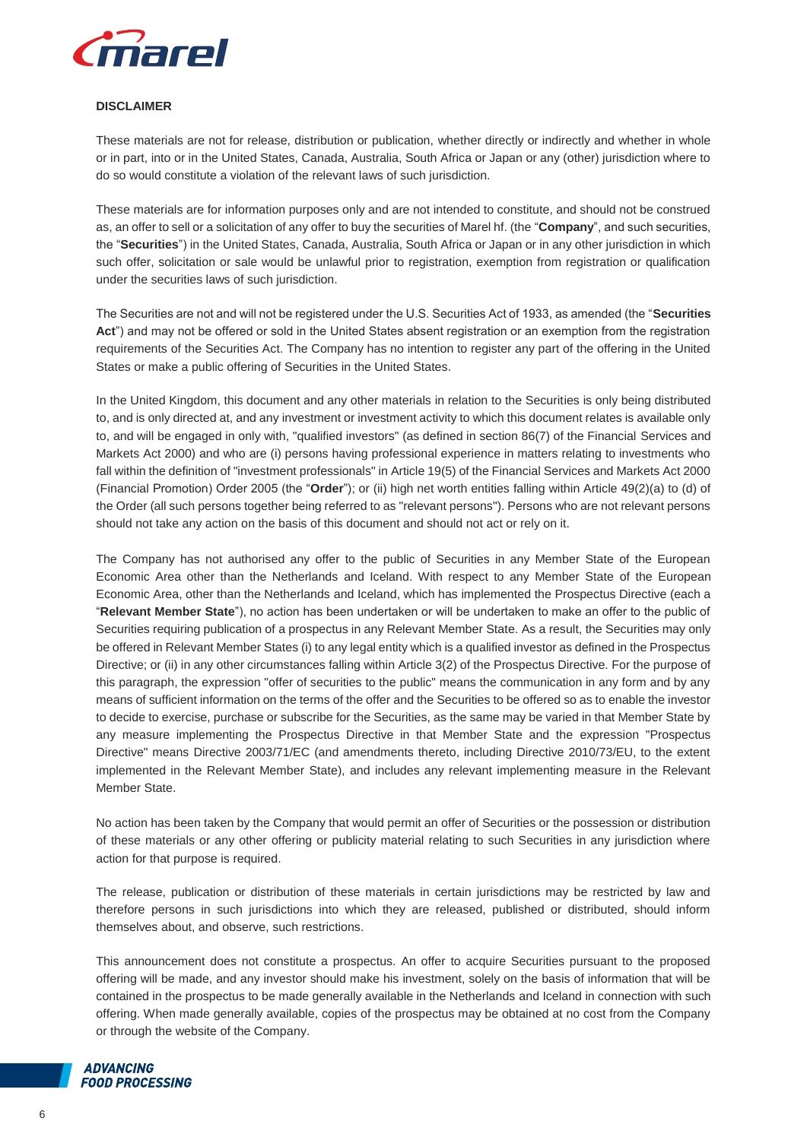

#### **DISCLAIMER**

These materials are not for release, distribution or publication, whether directly or indirectly and whether in whole or in part, into or in the United States, Canada, Australia, South Africa or Japan or any (other) jurisdiction where to do so would constitute a violation of the relevant laws of such jurisdiction.

These materials are for information purposes only and are not intended to constitute, and should not be construed as, an offer to sell or a solicitation of any offer to buy the securities of Marel hf. (the "**Company**", and such securities, the "**Securities**") in the United States, Canada, Australia, South Africa or Japan or in any other jurisdiction in which such offer, solicitation or sale would be unlawful prior to registration, exemption from registration or qualification under the securities laws of such jurisdiction.

The Securities are not and will not be registered under the U.S. Securities Act of 1933, as amended (the "**Securities Act**") and may not be offered or sold in the United States absent registration or an exemption from the registration requirements of the Securities Act. The Company has no intention to register any part of the offering in the United States or make a public offering of Securities in the United States.

In the United Kingdom, this document and any other materials in relation to the Securities is only being distributed to, and is only directed at, and any investment or investment activity to which this document relates is available only to, and will be engaged in only with, "qualified investors" (as defined in section 86(7) of the Financial Services and Markets Act 2000) and who are (i) persons having professional experience in matters relating to investments who fall within the definition of "investment professionals" in Article 19(5) of the Financial Services and Markets Act 2000 (Financial Promotion) Order 2005 (the "**Order**"); or (ii) high net worth entities falling within Article 49(2)(a) to (d) of the Order (all such persons together being referred to as "relevant persons"). Persons who are not relevant persons should not take any action on the basis of this document and should not act or rely on it.

The Company has not authorised any offer to the public of Securities in any Member State of the European Economic Area other than the Netherlands and Iceland. With respect to any Member State of the European Economic Area, other than the Netherlands and Iceland, which has implemented the Prospectus Directive (each a "**Relevant Member State**"), no action has been undertaken or will be undertaken to make an offer to the public of Securities requiring publication of a prospectus in any Relevant Member State. As a result, the Securities may only be offered in Relevant Member States (i) to any legal entity which is a qualified investor as defined in the Prospectus Directive; or (ii) in any other circumstances falling within Article 3(2) of the Prospectus Directive. For the purpose of this paragraph, the expression "offer of securities to the public" means the communication in any form and by any means of sufficient information on the terms of the offer and the Securities to be offered so as to enable the investor to decide to exercise, purchase or subscribe for the Securities, as the same may be varied in that Member State by any measure implementing the Prospectus Directive in that Member State and the expression "Prospectus Directive" means Directive 2003/71/EC (and amendments thereto, including Directive 2010/73/EU, to the extent implemented in the Relevant Member State), and includes any relevant implementing measure in the Relevant Member State.

No action has been taken by the Company that would permit an offer of Securities or the possession or distribution of these materials or any other offering or publicity material relating to such Securities in any jurisdiction where action for that purpose is required.

The release, publication or distribution of these materials in certain jurisdictions may be restricted by law and therefore persons in such jurisdictions into which they are released, published or distributed, should inform themselves about, and observe, such restrictions.

This announcement does not constitute a prospectus. An offer to acquire Securities pursuant to the proposed offering will be made, and any investor should make his investment, solely on the basis of information that will be contained in the prospectus to be made generally available in the Netherlands and Iceland in connection with such offering. When made generally available, copies of the prospectus may be obtained at no cost from the Company or through the website of the Company.